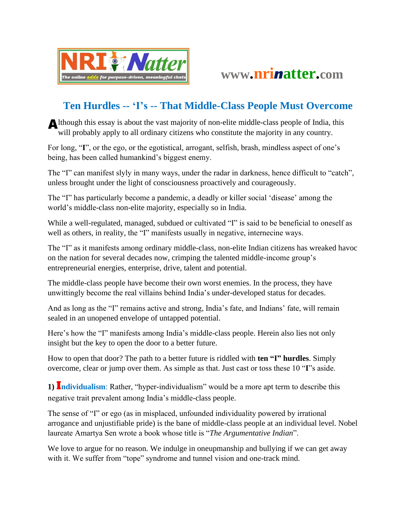



## **Ten Hurdles -- 'I's -- That Middle-Class People Must Overcome**

Although this essay is about the vast majority of non-elite middle-class people of India, this will probably apply to all ordinary citizens who constitute the majority in any country.

For long, "**I**", or the ego, or the egotistical, arrogant, selfish, brash, mindless aspect of one's being, has been called humankind's biggest enemy.

The "I" can manifest slyly in many ways, under the radar in darkness, hence difficult to "catch", unless brought under the light of consciousness proactively and courageously.

The "I" has particularly become a pandemic, a deadly or killer social 'disease' among the world's middle-class non-elite majority, especially so in India.

While a well-regulated, managed, subdued or cultivated "I" is said to be beneficial to oneself as well as others, in reality, the "I" manifests usually in negative, internecine ways.

The "I" as it manifests among ordinary middle-class, non-elite Indian citizens has wreaked havoc on the nation for several decades now, crimping the talented middle-income group's entrepreneurial energies, enterprise, drive, talent and potential.

The middle-class people have become their own worst enemies. In the process, they have unwittingly become the real villains behind India's under-developed status for decades.

And as long as the "I" remains active and strong, India's fate, and Indians' fate, will remain sealed in an unopened envelope of untapped potential.

Here's how the "I" manifests among India's middle-class people. Herein also lies not only insight but the key to open the door to a better future.

How to open that door? The path to a better future is riddled with **ten "I" hurdles**. Simply overcome, clear or jump over them. As simple as that. Just cast or toss these 10 "**I**"s aside.

**1)** Individualism: Rather, "hyper-individualism" would be a more apt term to describe this negative trait prevalent among India's middle-class people.

The sense of "I" or ego (as in misplaced, unfounded individuality powered by irrational arrogance and unjustifiable pride) is the bane of middle-class people at an individual level. Nobel laureate Amartya Sen wrote a book whose title is "*The Argumentative Indian*".

We love to argue for no reason. We indulge in oneupmanship and bullying if we can get away with it. We suffer from "tope" syndrome and tunnel vision and one-track mind.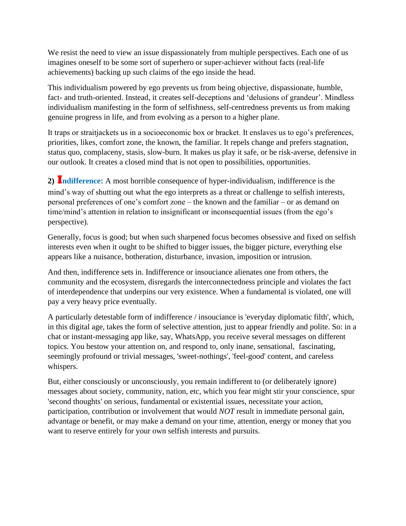We resist the need to view an issue dispassionately from multiple perspectives. Each one of us imagines oneself to be some sort of superhero or super-achiever without facts (real-life achievements) backing up such claims of the ego inside the head.

This individualism powered by ego prevents us from being objective, dispassionate, humble, fact- and truth-oriented. Instead, it creates self-deceptions and 'delusions of grandeur'. Mindless individualism manifesting in the form of selfishness, self-centredness prevents us from making genuine progress in life, and from evolving as a person to a higher plane.

It traps or straitjackets us in a socioeconomic box or bracket. It enslaves us to ego's preferences, priorities, likes, comfort zone, the known, the familiar. It repels change and prefers stagnation, status quo, complaceny, stasis, slow-burn. It makes us play it safe, or be risk-averse, defensive in our outlook. It creates a closed mind that is not open to possibilities, opportunities.

**2)** I**ndifference:** A most horrible consequence of hyper-individualism, indifference is the mind's way of shutting out what the ego interprets as a threat or challenge to selfish interests, personal preferences of one's comfort zone – the known and the familiar – or as demand on time/mind's attention in relation to insignificant or inconsequential issues (from the ego's perspective).

Generally, focus is good; but when such sharpened focus becomes obsessive and fixed on selfish interests even when it ought to be shifted to bigger issues, the bigger picture, everything else appears like a nuisance, botheration, disturbance, invasion, imposition or intrusion.

And then, indifference sets in. Indifference or insouciance alienates one from others, the community and the ecosystem, disregards the interconnectedness principle and violates the fact of interdependence that underpins our very existence. When a fundamental is violated, one will pay a very heavy price eventually.

A particularly detestable form of indifference / insouciance is 'everyday diplomatic filth', which, in this digital age, takes the form of selective attention, just to appear friendly and polite. So: in a chat or instant-messaging app like, say, WhatsApp, you receive several messages on different topics. You bestow your attention on, and respond to, only inane, sensational, fascinating, seemingly profound or trivial messages, 'sweet-nothings', 'feel-good' content, and careless whispers.

But, either consciously or unconsciously, you remain indifferent to (or deliberately ignore) messages about society, community, nation, etc, which you fear might stir your conscience, spur 'second thoughts' on serious, fundamental or existential issues, necessitate your action, participation, contribution or involvement that would *NOT* result in immediate personal gain, advantage or benefit, or may make a demand on your time, attention, energy or money that you want to reserve entirely for your own selfish interests and pursuits.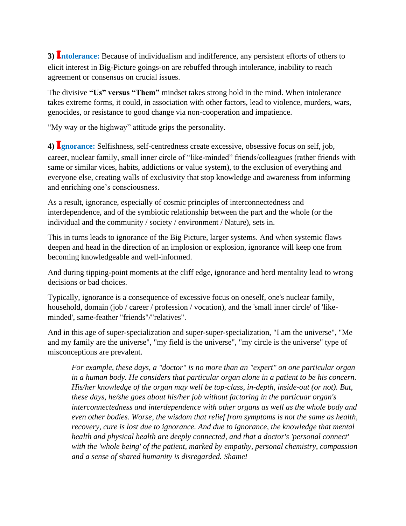**3)** I**ntolerance:** Because of individualism and indifference, any persistent efforts of others to elicit interest in Big-Picture goings-on are rebuffed through intolerance, inability to reach agreement or consensus on crucial issues.

The divisive **"Us" versus "Them"** mindset takes strong hold in the mind. When intolerance takes extreme forms, it could, in association with other factors, lead to violence, murders, wars, genocides, or resistance to good change via non-cooperation and impatience.

"My way or the highway" attitude grips the personality.

**4)** I**gnorance:** Selfishness, self-centredness create excessive, obsessive focus on self, job, career, nuclear family, small inner circle of "like-minded" friends/colleagues (rather friends with same or similar vices, habits, addictions or value system), to the exclusion of everything and everyone else, creating walls of exclusivity that stop knowledge and awareness from informing and enriching one's consciousness.

As a result, ignorance, especially of cosmic principles of interconnectedness and interdependence, and of the symbiotic relationship between the part and the whole (or the individual and the community / society / environment / Nature), sets in.

This in turns leads to ignorance of the Big Picture, larger systems. And when systemic flaws deepen and head in the direction of an implosion or explosion, ignorance will keep one from becoming knowledgeable and well-informed.

And during tipping-point moments at the cliff edge, ignorance and herd mentality lead to wrong decisions or bad choices.

Typically, ignorance is a consequence of excessive focus on oneself, one's nuclear family, household, domain (job / career / profession / vocation), and the 'small inner circle' of 'likeminded', same-feather "friends"/"relatives".

And in this age of super-specialization and super-super-specialization, "I am the universe", "Me and my family are the universe", "my field is the universe", "my circle is the universe" type of misconceptions are prevalent.

*For example, these days, a "doctor" is no more than an "expert" on one particular organ in a human body. He considers that particular organ alone in a patient to be his concern. His/her knowledge of the organ may well be top-class, in-depth, inside-out (or not). But, these days, he/she goes about his/her job without factoring in the particuar organ's interconnectedness and interdependence with other organs as well as the whole body and even other bodies. Worse, the wisdom that relief from symptoms is not the same as health, recovery, cure is lost due to ignorance. And due to ignorance, the knowledge that mental health and physical health are deeply connected, and that a doctor's 'personal connect' with the 'whole being' of the patient, marked by empathy, personal chemistry, compassion and a sense of shared humanity is disregarded. Shame!*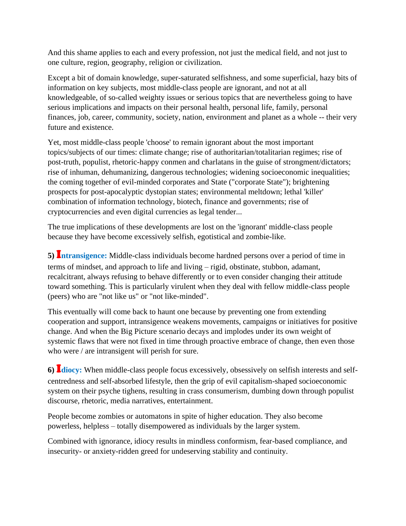And this shame applies to each and every profession, not just the medical field, and not just to one culture, region, geography, religion or civilization.

Except a bit of domain knowledge, super-saturated selfishness, and some superficial, hazy bits of information on key subjects, most middle-class people are ignorant, and not at all knowledgeable, of so-called weighty issues or serious topics that are nevertheless going to have serious implications and impacts on their personal health, personal life, family, personal finances, job, career, community, society, nation, environment and planet as a whole -- their very future and existence.

Yet, most middle-class people 'choose' to remain ignorant about the most important topics/subjects of our times: climate change; rise of authoritarian/totalitarian regimes; rise of post-truth, populist, rhetoric-happy conmen and charlatans in the guise of strongment/dictators; rise of inhuman, dehumanizing, dangerous technologies; widening socioeconomic inequalities; the coming together of evil-minded corporates and State ("corporate State"); brightening prospects for post-apocalyptic dystopian states; environmental meltdown; lethal 'killer' combination of information technology, biotech, finance and governments; rise of cryptocurrencies and even digital currencies as legal tender...

The true implications of these developments are lost on the 'ignorant' middle-class people because they have become excessively selfish, egotistical and zombie-like.

**5)** I**ntransigence:** Middle-class individuals become hardned persons over a period of time in terms of mindset, and approach to life and living – rigid, obstinate, stubbon, adamant, recalcitrant, always refusing to behave differently or to even consider changing their attitude toward something. This is particularly virulent when they deal with fellow middle-class people (peers) who are "not like us" or "not like-minded".

This eventually will come back to haunt one because by preventing one from extending cooperation and support, intransigence weakens movements, campaigns or initiatives for positive change. And when the Big Picture scenario decays and implodes under its own weight of systemic flaws that were not fixed in time through proactive embrace of change, then even those who were / are intransigent will perish for sure.

**6)** I**diocy:** When middle-class people focus excessively, obsessively on selfish interests and selfcentredness and self-absorbed lifestyle, then the grip of evil capitalism-shaped socioeconomic system on their psyche tighens, resulting in crass consumerism, dumbing down through populist discourse, rhetoric, media narratives, entertainment.

People become zombies or automatons in spite of higher education. They also become powerless, helpless – totally disempowered as individuals by the larger system.

Combined with ignorance, idiocy results in mindless conformism, fear-based compliance, and insecurity- or anxiety-ridden greed for undeserving stability and continuity.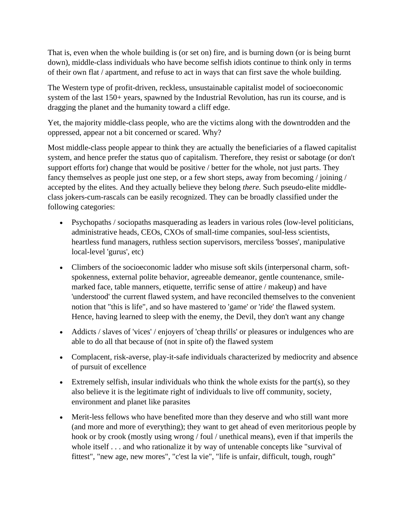That is, even when the whole building is (or set on) fire, and is burning down (or is being burnt down), middle-class individuals who have become selfish idiots continue to think only in terms of their own flat / apartment, and refuse to act in ways that can first save the whole building.

The Western type of profit-driven, reckless, unsustainable capitalist model of socioeconomic system of the last 150+ years, spawned by the Industrial Revolution, has run its course, and is dragging the planet and the humanity toward a cliff edge.

Yet, the majority middle-class people, who are the victims along with the downtrodden and the oppressed, appear not a bit concerned or scared. Why?

Most middle-class people appear to think they are actually the beneficiaries of a flawed capitalist system, and hence prefer the status quo of capitalism. Therefore, they resist or sabotage (or don't support efforts for) change that would be positive / better for the whole, not just parts. They fancy themselves as people just one step, or a few short steps, away from becoming / joining / accepted by the elites. And they actually believe they belong *there.* Such pseudo-elite middleclass jokers-cum-rascals can be easily recognized. They can be broadly classified under the following categories:

- Psychopaths / sociopaths masquerading as leaders in various roles (low-level politicians, administrative heads, CEOs, CXOs of small-time companies, soul-less scientists, heartless fund managers, ruthless section supervisors, merciless 'bosses', manipulative local-level 'gurus', etc)
- Climbers of the socioeconomic ladder who misuse soft skils (interpersonal charm, softspokenness, external polite behavior, agreeable demeanor, gentle countenance, smilemarked face, table manners, etiquette, terrific sense of attire / makeup) and have 'understood' the current flawed system, and have reconciled themselves to the convenient notion that "this is life", and so have mastered to 'game' or 'ride' the flawed system. Hence, having learned to sleep with the enemy, the Devil, they don't want any change
- Addicts / slaves of 'vices' / enjoyers of 'cheap thrills' or pleasures or indulgences who are able to do all that because of (not in spite of) the flawed system
- Complacent, risk-averse, play-it-safe individuals characterized by mediocrity and absence of pursuit of excellence
- Extremely selfish, insular individuals who think the whole exists for the part(s), so they also believe it is the legitimate right of individuals to live off community, society, environment and planet like parasites
- Merit-less fellows who have benefited more than they deserve and who still want more (and more and more of everything); they want to get ahead of even meritorious people by hook or by crook (mostly using wrong / foul / unethical means), even if that imperils the whole itself . . . and who rationalize it by way of untenable concepts like "survival of fittest", "new age, new mores", "c'est la vie", "life is unfair, difficult, tough, rough"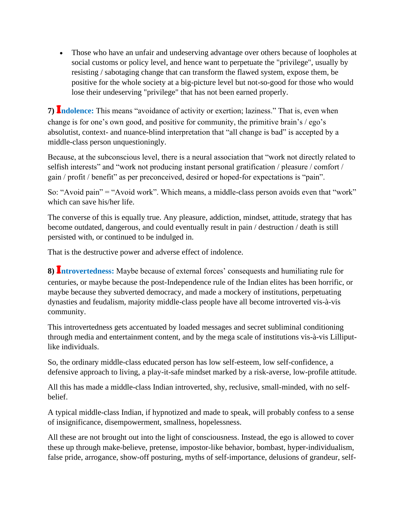• Those who have an unfair and undeserving advantage over others because of loopholes at social customs or policy level, and hence want to perpetuate the "privilege", usually by resisting / sabotaging change that can transform the flawed system, expose them, be positive for the whole society at a big-picture level but not-so-good for those who would lose their undeserving "privilege" that has not been earned properly.

**7)** I**ndolence:** This means "avoidance of activity or exertion; laziness." That is, even when change is for one's own good, and positive for community, the primitive brain's / ego's absolutist, context- and nuance-blind interpretation that "all change is bad" is accepted by a middle-class person unquestioningly.

Because, at the subconscious level, there is a neural association that "work not directly related to selfish interests" and "work not producing instant personal gratification / pleasure / comfort / gain / profit / benefit" as per preconceived, desired or hoped-for expectations is "pain".

So: "Avoid pain" = "Avoid work". Which means, a middle-class person avoids even that "work" which can save his/her life.

The converse of this is equally true. Any pleasure, addiction, mindset, attitude, strategy that has become outdated, dangerous, and could eventually result in pain / destruction / death is still persisted with, or continued to be indulged in.

That is the destructive power and adverse effect of indolence.

**8)** I**ntrovertedness:** Maybe because of external forces' consequests and humiliating rule for centuries, or maybe because the post-Independence rule of the Indian elites has been horrific, or maybe because they subverted democracy, and made a mockery of institutions, perpetuating dynasties and feudalism, majority middle-class people have all become introverted vis-à-vis community.

This introvertedness gets accentuated by loaded messages and secret subliminal conditioning through media and entertainment content, and by the mega scale of institutions vis-à-vis Lilliputlike individuals.

So, the ordinary middle-class educated person has low self-esteem, low self-confidence, a defensive approach to living, a play-it-safe mindset marked by a risk-averse, low-profile attitude.

All this has made a middle-class Indian introverted, shy, reclusive, small-minded, with no selfbelief.

A typical middle-class Indian, if hypnotized and made to speak, will probably confess to a sense of insignificance, disempowerment, smallness, hopelessness.

All these are not brought out into the light of consciousness. Instead, the ego is allowed to cover these up through make-believe, pretense, impostor-like behavior, bombast, hyper-individualism, false pride, arrogance, show-off posturing, myths of self-importance, delusions of grandeur, self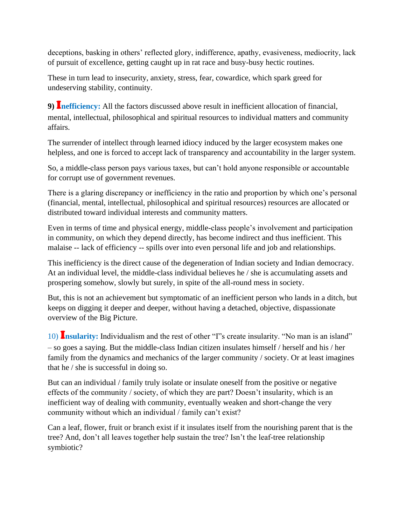deceptions, basking in others' reflected glory, indifference, apathy, evasiveness, mediocrity, lack of pursuit of excellence, getting caught up in rat race and busy-busy hectic routines.

These in turn lead to insecurity, anxiety, stress, fear, cowardice, which spark greed for undeserving stability, continuity.

**9)** I**nefficiency:** All the factors discussed above result in inefficient allocation of financial, mental, intellectual, philosophical and spiritual resources to individual matters and community affairs.

The surrender of intellect through learned idiocy induced by the larger ecosystem makes one helpless, and one is forced to accept lack of transparency and accountability in the larger system.

So, a middle-class person pays various taxes, but can't hold anyone responsible or accountable for corrupt use of government revenues.

There is a glaring discrepancy or inefficiency in the ratio and proportion by which one's personal (financial, mental, intellectual, philosophical and spiritual resources) resources are allocated or distributed toward individual interests and community matters.

Even in terms of time and physical energy, middle-class people's involvement and participation in community, on which they depend directly, has become indirect and thus inefficient. This malaise -- lack of efficiency -- spills over into even personal life and job and relationships.

This inefficiency is the direct cause of the degeneration of Indian society and Indian democracy. At an individual level, the middle-class individual believes he / she is accumulating assets and prospering somehow, slowly but surely, in spite of the all-round mess in society.

But, this is not an achievement but symptomatic of an inefficient person who lands in a ditch, but keeps on digging it deeper and deeper, without having a detached, objective, dispassionate overview of the Big Picture.

10) I**nsularity:** Individualism and the rest of other "I"s create insularity. "No man is an island" – so goes a saying. But the middle-class Indian citizen insulates himself / herself and his / her family from the dynamics and mechanics of the larger community / society. Or at least imagines that he / she is successful in doing so.

But can an individual / family truly isolate or insulate oneself from the positive or negative effects of the community / society, of which they are part? Doesn't insularity, which is an inefficient way of dealing with community, eventually weaken and short-change the very community without which an individual / family can't exist?

Can a leaf, flower, fruit or branch exist if it insulates itself from the nourishing parent that is the tree? And, don't all leaves together help sustain the tree? Isn't the leaf-tree relationship symbiotic?